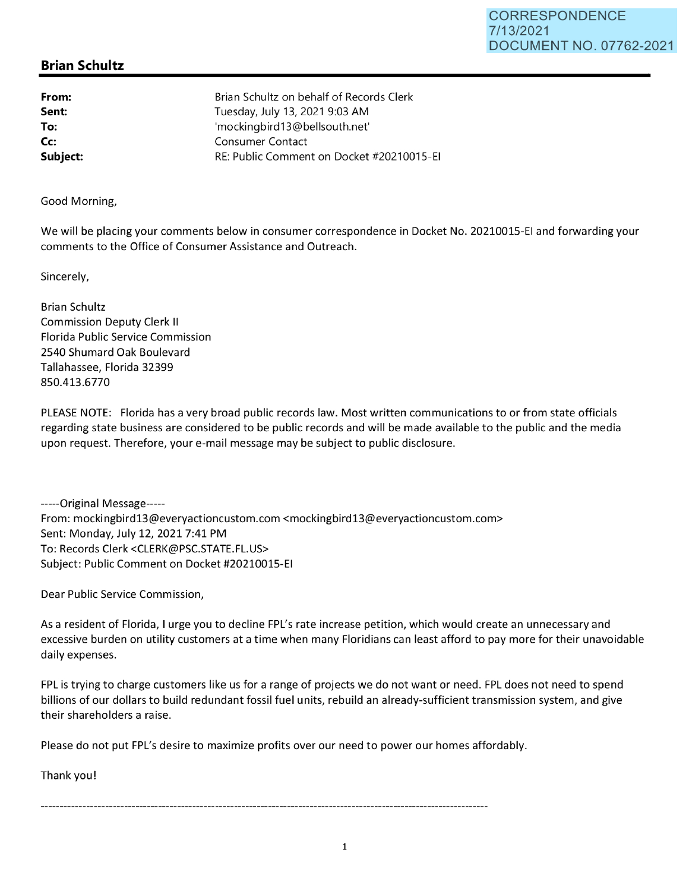## **Brian Schultz**

**From: Sent: To: Cc: Subject:**  Brian Schultz on behalf of Records Clerk Tuesday, July 13, 2021 9:03 **AM**  'mockingbird13@bellsouth.net' Consumer Contact RE: Public Comment on Docket #20210015-EI

Good Morning,

We will be placing your comments below in consumer correspondence in Docket No. 20210015-EI and forwarding your comments to the Office of Consumer Assistance and Outreach.

Sincerely,

Brian Schultz Commission Deputy Clerk II Florida Public Service Commission 2540 Shumard Oak Boulevard Tallahassee, Florida 32399 850.413.6770

PLEASE NOTE: Florida has a very broad public records law. Most written communications to or from state officials regarding state business are considered to be public records and will be made available to the public and the media upon request. Therefore, your e-mail message may be subject to public disclosure.

-----Original Message----- From: mockingbirdl3@everyactioncustom.com <mockingbirdl3@everyactioncustom.com> Sent: Monday, July 12, 2021 7:41 PM To: Records Clerk <CLERK@PSC.STATE.FL.US> Subject: Public Comment on Docket #20210015-EI

Dear Public Service Commission,

As a resident of Florida, I urge you to decline FPL's rate increase petition, which would create an unnecessary and excessive burden on utility customers at a time when many Floridians can least afford to pay more for their unavoidable daily expenses.

FPL is trying to charge customers like us for a range of projects we do not want or need. FPL does not need to spend billions of our dollars to build redundant fossil fuel units, rebuild an already-sufficient transmission system, and give their shareholders a raise.

Please do not put FPL's desire to maximize profits over our need to power our homes affordably.

Thank you!